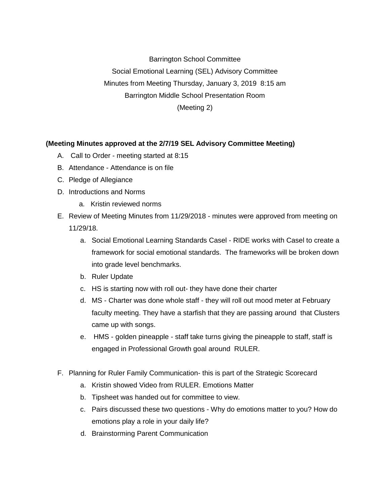Barrington School Committee Social Emotional Learning (SEL) Advisory Committee Minutes from Meeting Thursday, January 3, 2019 8:15 am Barrington Middle School Presentation Room (Meeting 2)

## **(Meeting Minutes approved at the 2/7/19 SEL Advisory Committee Meeting)**

- A. Call to Order meeting started at 8:15
- B. Attendance Attendance is on file
- C. Pledge of Allegiance
- D. Introductions and Norms
	- a. Kristin reviewed norms
- E. Review of Meeting Minutes from 11/29/2018 minutes were approved from meeting on 11/29/18.
	- a. Social Emotional Learning Standards Casel RIDE works with Casel to create a framework for social emotional standards. The frameworks will be broken down into grade level benchmarks.
	- b. Ruler Update
	- c. HS is starting now with roll out- they have done their charter
	- d. MS Charter was done whole staff they will roll out mood meter at February faculty meeting. They have a starfish that they are passing around that Clusters came up with songs.
	- e. HMS golden pineapple staff take turns giving the pineapple to staff, staff is engaged in Professional Growth goal around RULER.
- F. Planning for Ruler Family Communication- this is part of the Strategic Scorecard
	- a. Kristin showed Video from RULER. Emotions Matter
	- b. Tipsheet was handed out for committee to view.
	- c. Pairs discussed these two questions Why do emotions matter to you? How do emotions play a role in your daily life?
	- d. Brainstorming Parent Communication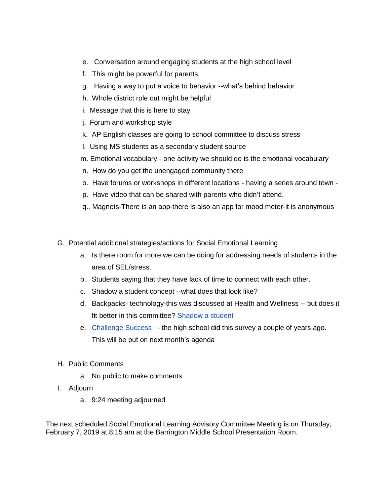- e. Conversation around engaging students at the high school level
- f. This might be powerful for parents
- g. Having a way to put a voice to behavior --what's behind behavior
- h. Whole district role out might be helpful
- i. Message that this is here to stay
- j. Forum and workshop style
- k. AP English classes are going to school committee to discuss stress
- l. Using MS students as a secondary student source
- m. Emotional vocabulary one activity we should do is the emotional vocabulary
- n. How do you get the unengaged community there
- o. Have forums or workshops in different locations having a series around town -
- p. Have video that can be shared with parents who didn't attend.
- q.. Magnets-There is an app-there is also an app for mood meter-it is anonymous
- G. Potential additional strategies/actions for Social Emotional Learning
	- a. Is there room for more we can be doing for addressing needs of students in the area of SEL/stress.
	- b. Students saying that they have lack of time to connect with each other.
	- c. Shadow a student concept --what does that look like?
	- d. Backpacks- technology-this was discussed at Health and Wellness -- but does it fit better in this committee? [Shadow a student](https://www.shadowastudent.org/)
	- e. [Challenge Success](http://www.challengesuccess.org/)  the high school did this survey a couple of years ago. This will be put on next month's agenda
- H. Public Comments
	- a. No public to make comments
- I. Adjourn
	- a. 9:24 meeting adjourned

The next scheduled Social Emotional Learning Advisory Committee Meeting is on Thursday, February 7, 2019 at 8:15 am at the Barrington Middle School Presentation Room.